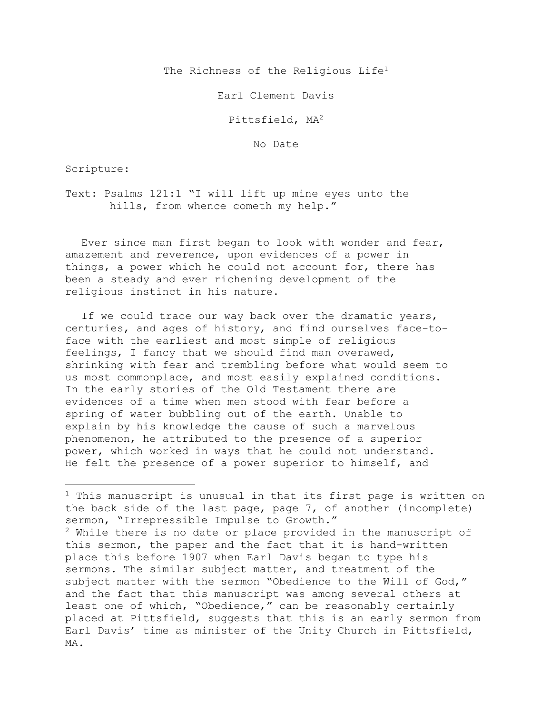The Richness of the Religious Life<sup>1</sup>

Earl Clement Davis

Pittsfield, MA2

No Date

Scripture:

Text: Psalms 121:1 "I will lift up mine eyes unto the hills, from whence cometh my help."

Ever since man first began to look with wonder and fear, amazement and reverence, upon evidences of a power in things, a power which he could not account for, there has been a steady and ever richening development of the religious instinct in his nature.

If we could trace our way back over the dramatic years, centuries, and ages of history, and find ourselves face-toface with the earliest and most simple of religious feelings, I fancy that we should find man overawed, shrinking with fear and trembling before what would seem to us most commonplace, and most easily explained conditions. In the early stories of the Old Testament there are evidences of a time when men stood with fear before a spring of water bubbling out of the earth. Unable to explain by his knowledge the cause of such a marvelous phenomenon, he attributed to the presence of a superior power, which worked in ways that he could not understand. He felt the presence of a power superior to himself, and

 $1$  This manuscript is unusual in that its first page is written on the back side of the last page, page 7, of another (incomplete) sermon, "Irrepressible Impulse to Growth."  $2$  While there is no date or place provided in the manuscript of this sermon, the paper and the fact that it is hand-written place this before 1907 when Earl Davis began to type his sermons. The similar subject matter, and treatment of the subject matter with the sermon "Obedience to the Will of God," and the fact that this manuscript was among several others at least one of which, "Obedience," can be reasonably certainly placed at Pittsfield, suggests that this is an early sermon from Earl Davis' time as minister of the Unity Church in Pittsfield, MA.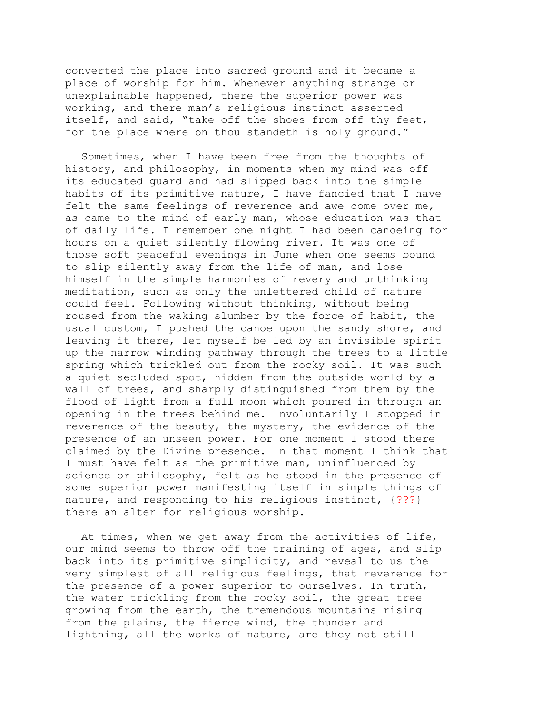converted the place into sacred ground and it became a place of worship for him. Whenever anything strange or unexplainable happened, there the superior power was working, and there man's religious instinct asserted itself, and said, "take off the shoes from off thy feet, for the place where on thou standeth is holy ground."

Sometimes, when I have been free from the thoughts of history, and philosophy, in moments when my mind was off its educated guard and had slipped back into the simple habits of its primitive nature, I have fancied that I have felt the same feelings of reverence and awe come over me, as came to the mind of early man, whose education was that of daily life. I remember one night I had been canoeing for hours on a quiet silently flowing river. It was one of those soft peaceful evenings in June when one seems bound to slip silently away from the life of man, and lose himself in the simple harmonies of revery and unthinking meditation, such as only the unlettered child of nature could feel. Following without thinking, without being roused from the waking slumber by the force of habit, the usual custom, I pushed the canoe upon the sandy shore, and leaving it there, let myself be led by an invisible spirit up the narrow winding pathway through the trees to a little spring which trickled out from the rocky soil. It was such a quiet secluded spot, hidden from the outside world by a wall of trees, and sharply distinguished from them by the flood of light from a full moon which poured in through an opening in the trees behind me. Involuntarily I stopped in reverence of the beauty, the mystery, the evidence of the presence of an unseen power. For one moment I stood there claimed by the Divine presence. In that moment I think that I must have felt as the primitive man, uninfluenced by science or philosophy, felt as he stood in the presence of some superior power manifesting itself in simple things of nature, and responding to his religious instinct, {???} there an alter for religious worship.

At times, when we get away from the activities of life, our mind seems to throw off the training of ages, and slip back into its primitive simplicity, and reveal to us the very simplest of all religious feelings, that reverence for the presence of a power superior to ourselves. In truth, the water trickling from the rocky soil, the great tree growing from the earth, the tremendous mountains rising from the plains, the fierce wind, the thunder and lightning, all the works of nature, are they not still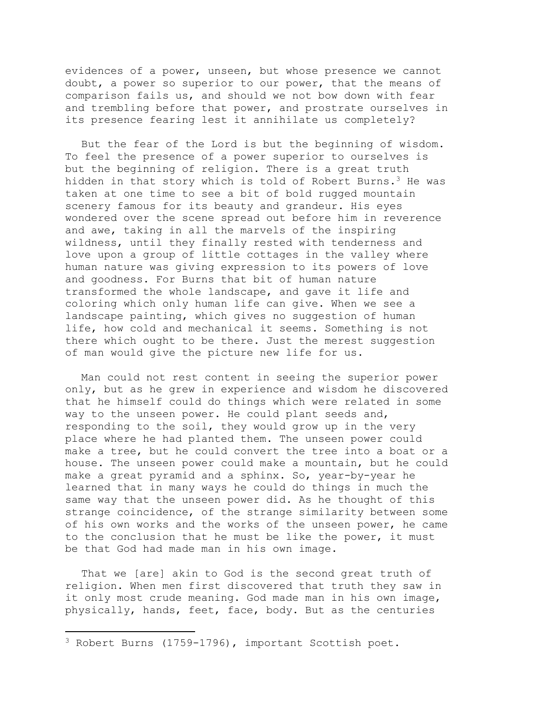evidences of a power, unseen, but whose presence we cannot doubt, a power so superior to our power, that the means of comparison fails us, and should we not bow down with fear and trembling before that power, and prostrate ourselves in its presence fearing lest it annihilate us completely?

But the fear of the Lord is but the beginning of wisdom. To feel the presence of a power superior to ourselves is but the beginning of religion. There is a great truth hidden in that story which is told of Robert Burns.<sup>3</sup> He was taken at one time to see a bit of bold rugged mountain scenery famous for its beauty and grandeur. His eyes wondered over the scene spread out before him in reverence and awe, taking in all the marvels of the inspiring wildness, until they finally rested with tenderness and love upon a group of little cottages in the valley where human nature was giving expression to its powers of love and goodness. For Burns that bit of human nature transformed the whole landscape, and gave it life and coloring which only human life can give. When we see a landscape painting, which gives no suggestion of human life, how cold and mechanical it seems. Something is not there which ought to be there. Just the merest suggestion of man would give the picture new life for us.

Man could not rest content in seeing the superior power only, but as he grew in experience and wisdom he discovered that he himself could do things which were related in some way to the unseen power. He could plant seeds and, responding to the soil, they would grow up in the very place where he had planted them. The unseen power could make a tree, but he could convert the tree into a boat or a house. The unseen power could make a mountain, but he could make a great pyramid and a sphinx. So, year-by-year he learned that in many ways he could do things in much the same way that the unseen power did. As he thought of this strange coincidence, of the strange similarity between some of his own works and the works of the unseen power, he came to the conclusion that he must be like the power, it must be that God had made man in his own image.

That we [are] akin to God is the second great truth of religion. When men first discovered that truth they saw in it only most crude meaning. God made man in his own image, physically, hands, feet, face, body. But as the centuries

<sup>3</sup> Robert Burns (1759-1796), important Scottish poet.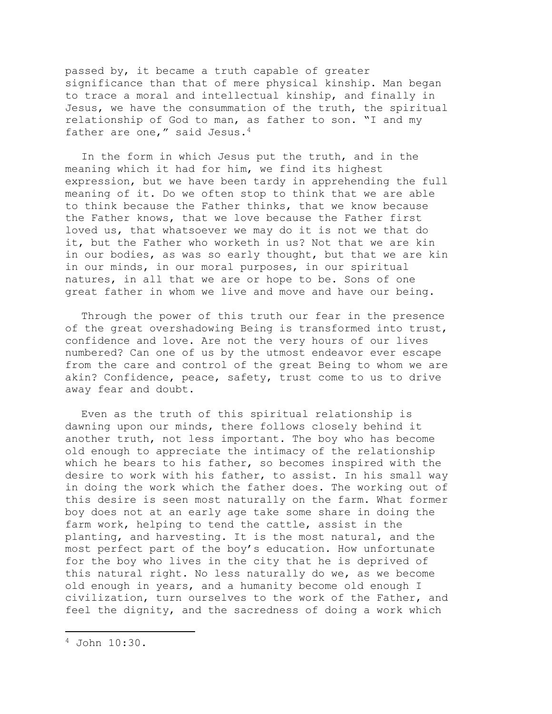passed by, it became a truth capable of greater significance than that of mere physical kinship. Man began to trace a moral and intellectual kinship, and finally in Jesus, we have the consummation of the truth, the spiritual relationship of God to man, as father to son. "I and my father are one," said Jesus.<sup>4</sup>

In the form in which Jesus put the truth, and in the meaning which it had for him, we find its highest expression, but we have been tardy in apprehending the full meaning of it. Do we often stop to think that we are able to think because the Father thinks, that we know because the Father knows, that we love because the Father first loved us, that whatsoever we may do it is not we that do it, but the Father who worketh in us? Not that we are kin in our bodies, as was so early thought, but that we are kin in our minds, in our moral purposes, in our spiritual natures, in all that we are or hope to be. Sons of one great father in whom we live and move and have our being.

Through the power of this truth our fear in the presence of the great overshadowing Being is transformed into trust, confidence and love. Are not the very hours of our lives numbered? Can one of us by the utmost endeavor ever escape from the care and control of the great Being to whom we are akin? Confidence, peace, safety, trust come to us to drive away fear and doubt.

Even as the truth of this spiritual relationship is dawning upon our minds, there follows closely behind it another truth, not less important. The boy who has become old enough to appreciate the intimacy of the relationship which he bears to his father, so becomes inspired with the desire to work with his father, to assist. In his small way in doing the work which the father does. The working out of this desire is seen most naturally on the farm. What former boy does not at an early age take some share in doing the farm work, helping to tend the cattle, assist in the planting, and harvesting. It is the most natural, and the most perfect part of the boy's education. How unfortunate for the boy who lives in the city that he is deprived of this natural right. No less naturally do we, as we become old enough in years, and a humanity become old enough I civilization, turn ourselves to the work of the Father, and feel the dignity, and the sacredness of doing a work which

<sup>4</sup> John 10:30.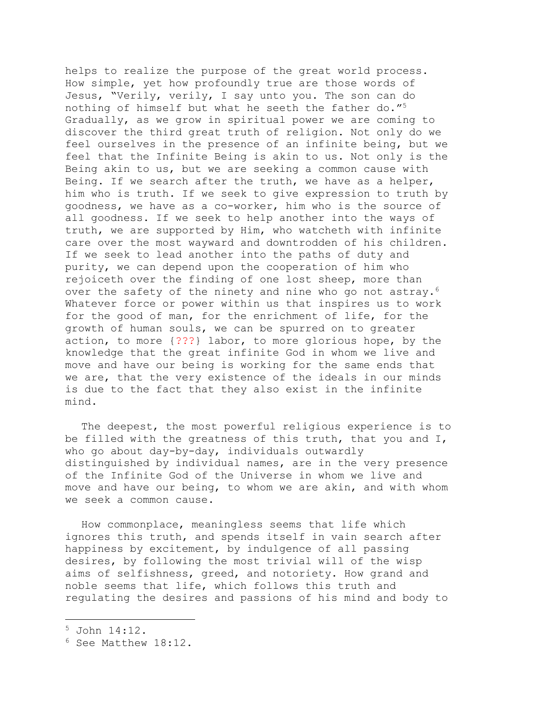helps to realize the purpose of the great world process. How simple, yet how profoundly true are those words of Jesus, "Verily, verily, I say unto you. The son can do nothing of himself but what he seeth the father do."5 Gradually, as we grow in spiritual power we are coming to discover the third great truth of religion. Not only do we feel ourselves in the presence of an infinite being, but we feel that the Infinite Being is akin to us. Not only is the Being akin to us, but we are seeking a common cause with Being. If we search after the truth, we have as a helper, him who is truth. If we seek to give expression to truth by goodness, we have as a co-worker, him who is the source of all goodness. If we seek to help another into the ways of truth, we are supported by Him, who watcheth with infinite care over the most wayward and downtrodden of his children. If we seek to lead another into the paths of duty and purity, we can depend upon the cooperation of him who rejoiceth over the finding of one lost sheep, more than over the safety of the ninety and nine who go not astray.<sup>6</sup> Whatever force or power within us that inspires us to work for the good of man, for the enrichment of life, for the growth of human souls, we can be spurred on to greater action, to more {???} labor, to more glorious hope, by the knowledge that the great infinite God in whom we live and move and have our being is working for the same ends that we are, that the very existence of the ideals in our minds is due to the fact that they also exist in the infinite mind.

The deepest, the most powerful religious experience is to be filled with the greatness of this truth, that you and I, who go about day-by-day, individuals outwardly distinguished by individual names, are in the very presence of the Infinite God of the Universe in whom we live and move and have our being, to whom we are akin, and with whom we seek a common cause.

How commonplace, meaningless seems that life which ignores this truth, and spends itself in vain search after happiness by excitement, by indulgence of all passing desires, by following the most trivial will of the wisp aims of selfishness, greed, and notoriety. How grand and noble seems that life, which follows this truth and regulating the desires and passions of his mind and body to

<sup>5</sup> John 14:12.

<sup>6</sup> See Matthew 18:12.